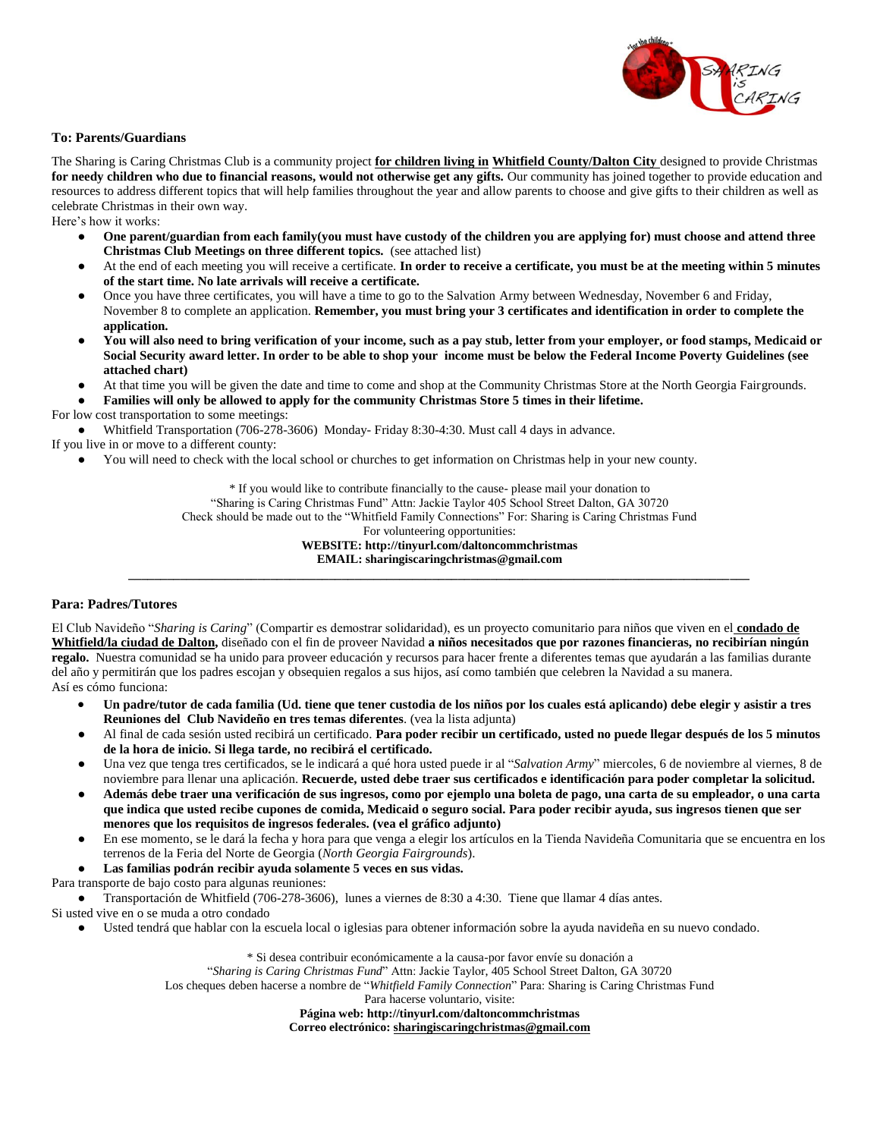

## **To: Parents/Guardians**

The Sharing is Caring Christmas Club is a community project **for children living in Whitfield County/Dalton City** designed to provide Christmas **for needy children who due to financial reasons, would not otherwise get any gifts.** Our community has joined together to provide education and resources to address different topics that will help families throughout the year and allow parents to choose and give gifts to their children as well as celebrate Christmas in their own way.

Here's how it works:

- **One parent/guardian from each family(you must have custody of the children you are applying for) must choose and attend three Christmas Club Meetings on three different topics.** (see attached list)
- At the end of each meeting you will receive a certificate. In order to receive a certificate, you must be at the meeting within 5 minutes **of the start time. No late arrivals will receive a certificate.**
- Once you have three certificates, you will have a time to go to the Salvation Army between Wednesday, November 6 and Friday, November 8 to complete an application. **Remember, you must bring your 3 certificates and identification in order to complete the application.**
- You will also need to bring verification of your income, such as a pay stub, letter from your employer, or food stamps, Medicaid or **Social Security award letter. In order to be able to shop your income must be below the Federal Income Poverty Guidelines (see attached chart)**
- At that time you will be given the date and time to come and shop at the Community Christmas Store at the North Georgia Fairgrounds.

● **Families will only be allowed to apply for the community Christmas Store 5 times in their lifetime.** For low cost transportation to some meetings:

● Whitfield Transportation (706-278-3606) Monday- Friday 8:30-4:30. Must call 4 days in advance.

- If you live in or move to a different county:
	- You will need to check with the local school or churches to get information on Christmas help in your new county.

\* If you would like to contribute financially to the cause- please mail your donation to

"Sharing is Caring Christmas Fund" Attn: Jackie Taylor 405 School Street Dalton, GA 30720

Check should be made out to the "Whitfield Family Connections" For: Sharing is Caring Christmas Fund

For volunteering opportunities:

**WEBSITE:<http://tinyurl.com/daltoncommchristmas> EMAIL: sharingiscaringchristmas@gmail.com** *\_\_\_\_\_\_\_\_\_\_\_\_\_\_\_\_\_\_\_\_\_\_\_\_\_\_\_\_\_\_\_\_\_\_\_\_\_\_\_\_\_\_\_\_\_\_\_\_\_\_\_\_\_\_\_\_\_\_\_\_\_\_\_\_\_\_\_\_\_\_\_\_\_\_\_\_\_\_\_\_\_\_\_\_\_\_\_\_\_\_\_\_\_\_\_\_*

## **Para: Padres/Tutores**

El Club Navideño "*Sharing is Caring*" (Compartir es demostrar solidaridad), es un proyecto comunitario para niños que viven en el **condado de Whitfield/la ciudad de Dalton,** diseñado con el fin de proveer Navidad **a niños necesitados que por razones financieras, no recibirían ningún regalo.** Nuestra comunidad se ha unido para proveer educación y recursos para hacer frente a diferentes temas que ayudarán a las familias durante del año y permitirán que los padres escojan y obsequien regalos a sus hijos, así como también que celebren la Navidad a su manera. Así es cómo funciona:

- **Un padre/tutor de cada familia (Ud. tiene que tener custodia de los niños por los cuales está aplicando) debe elegir y asistir a tres Reuniones del Club Navideño en tres temas diferentes**. (vea la lista adjunta)
- Al final de cada sesión usted recibirá un certificado. **Para poder recibir un certificado, usted no puede llegar después de los 5 minutos de la hora de inicio. Si llega tarde, no recibirá el certificado.**
- Una vez que tenga tres certificados, se le indicará a qué hora usted puede ir al "*Salvation Army*" miercoles, 6 de noviembre al viernes, 8 de noviembre para llenar una aplicación. **Recuerde, usted debe traer sus certificados e identificación para poder completar la solicitud.**
- **Además debe traer una verificación de sus ingresos, como por ejemplo una boleta de pago, una carta de su empleador, o una carta que indica que usted recibe cupones de comida, Medicaid o seguro social. Para poder recibir ayuda, sus ingresos tienen que ser menores que los requisitos de ingresos federales. (vea el gráfico adjunto)**
- En ese momento, se le dará la fecha y hora para que venga a elegir los artículos en la Tienda Navideña Comunitaria que se encuentra en los terrenos de la Feria del Norte de Georgia (*North Georgia Fairgrounds*).
- **Las familias podrán recibir ayuda solamente 5 veces en sus vidas.**

Para transporte de bajo costo para algunas reuniones:

● Transportación de Whitfield (706-278-3606), lunes a viernes de 8:30 a 4:30. Tiene que llamar 4 días antes.

Si usted vive en o se muda a otro condado

● Usted tendrá que hablar con la escuela local o iglesias para obtener información sobre la ayuda navideña en su nuevo condado.

\* Si desea contribuir económicamente a la causa-por favor envíe su donación a "*Sharing is Caring Christmas Fund*" Attn: Jackie Taylor, 405 School Street Dalton, GA 30720 Los cheques deben hacerse a nombre de "*Whitfield Family Connection*" Para: Sharing is Caring Christmas Fund Para hacerse voluntario, visite:

**Página web: <http://tinyurl.com/daltoncommchristmas> Correo electrónico: [sharingiscaringchristmas@gmail.com](mailto:sharingiscaringchristmas@gmail.com)**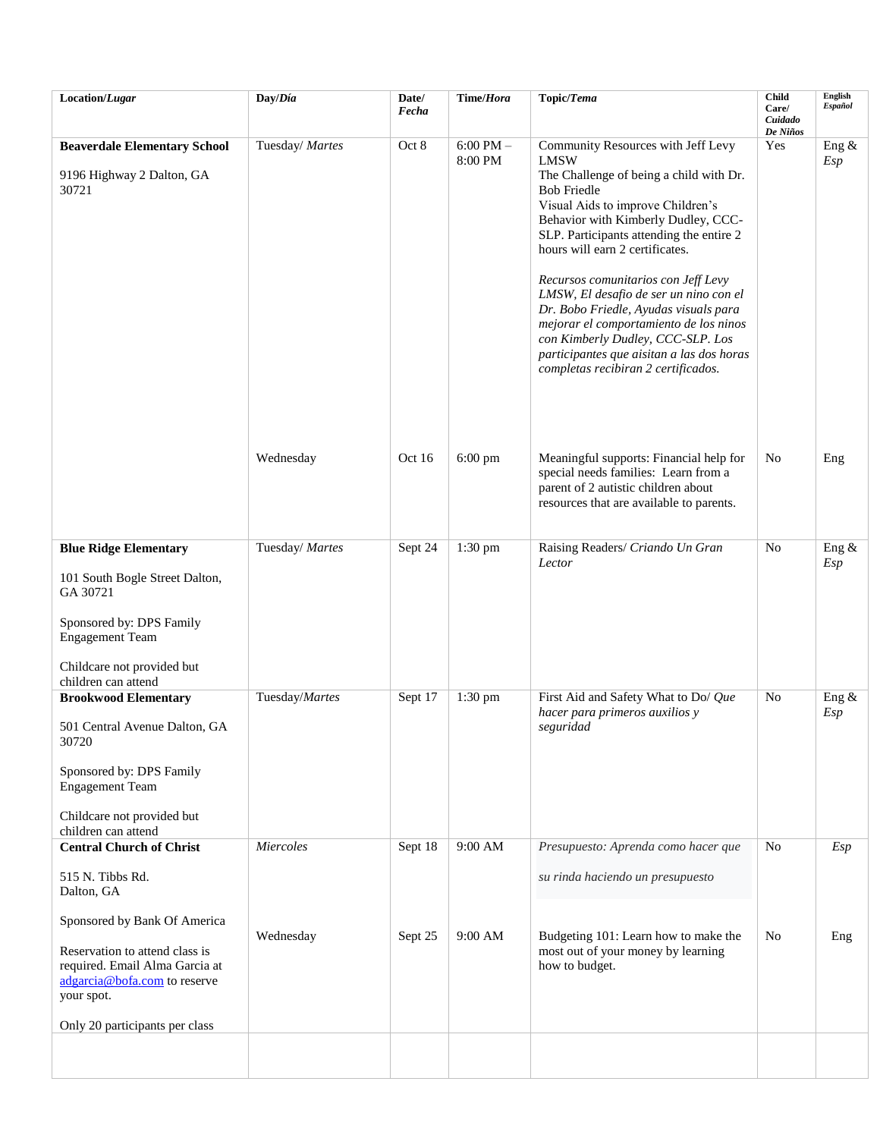| Location/Lugar                                                                                                                                                                   | Day/Día         | Date/<br>Fecha | Time/Hora                | Topic/Tema                                                                                                                                                                                                                                                                                                                                                                                                                                                                                                                                                                 | <b>Child</b><br>Care/<br>Cuidado<br>De Niños | English<br><b>Español</b> |
|----------------------------------------------------------------------------------------------------------------------------------------------------------------------------------|-----------------|----------------|--------------------------|----------------------------------------------------------------------------------------------------------------------------------------------------------------------------------------------------------------------------------------------------------------------------------------------------------------------------------------------------------------------------------------------------------------------------------------------------------------------------------------------------------------------------------------------------------------------------|----------------------------------------------|---------------------------|
| <b>Beaverdale Elementary School</b><br>9196 Highway 2 Dalton, GA<br>30721                                                                                                        | Tuesday/ Martes | Oct 8          | $6:00$ PM $-$<br>8:00 PM | Community Resources with Jeff Levy<br><b>LMSW</b><br>The Challenge of being a child with Dr.<br><b>Bob Friedle</b><br>Visual Aids to improve Children's<br>Behavior with Kimberly Dudley, CCC-<br>SLP. Participants attending the entire 2<br>hours will earn 2 certificates.<br>Recursos comunitarios con Jeff Levy<br>LMSW, El desafio de ser un nino con el<br>Dr. Bobo Friedle, Ayudas visuals para<br>mejorar el comportamiento de los ninos<br>con Kimberly Dudley, CCC-SLP. Los<br>participantes que aisitan a las dos horas<br>completas recibiran 2 certificados. | Yes                                          | Eng $\&$<br>Esp           |
|                                                                                                                                                                                  | Wednesday       | Oct 16         | $6:00$ pm                | Meaningful supports: Financial help for<br>special needs families: Learn from a<br>parent of 2 autistic children about<br>resources that are available to parents.                                                                                                                                                                                                                                                                                                                                                                                                         | No                                           | Eng                       |
| <b>Blue Ridge Elementary</b>                                                                                                                                                     | Tuesday/ Martes | Sept 24        | $1:30$ pm                | Raising Readers/ Criando Un Gran                                                                                                                                                                                                                                                                                                                                                                                                                                                                                                                                           | No                                           | Eng &                     |
| 101 South Bogle Street Dalton,<br>GA 30721<br>Sponsored by: DPS Family<br><b>Engagement Team</b><br>Childcare not provided but<br>children can attend                            |                 |                |                          | Lector                                                                                                                                                                                                                                                                                                                                                                                                                                                                                                                                                                     |                                              | Esp                       |
| <b>Brookwood Elementary</b>                                                                                                                                                      | Tuesday/Martes  | Sept 17        | $1:30$ pm                | First Aid and Safety What to Do/ Que<br>hacer para primeros auxilios y                                                                                                                                                                                                                                                                                                                                                                                                                                                                                                     | N <sub>o</sub>                               | Eng $\&$<br>Esp           |
| 501 Central Avenue Dalton, GA<br>30720<br>Sponsored by: DPS Family<br><b>Engagement Team</b><br>Childcare not provided but<br>children can attend                                |                 |                |                          | seguridad                                                                                                                                                                                                                                                                                                                                                                                                                                                                                                                                                                  |                                              |                           |
| <b>Central Church of Christ</b>                                                                                                                                                  | Miercoles       | Sept 18        | 9:00 AM                  | Presupuesto: Aprenda como hacer que                                                                                                                                                                                                                                                                                                                                                                                                                                                                                                                                        | N <sub>0</sub>                               | Esp                       |
| 515 N. Tibbs Rd.<br>Dalton, GA                                                                                                                                                   |                 |                |                          | su rinda haciendo un presupuesto                                                                                                                                                                                                                                                                                                                                                                                                                                                                                                                                           |                                              |                           |
| Sponsored by Bank Of America<br>Reservation to attend class is<br>required. Email Alma Garcia at<br>adgarcia@bofa.com to reserve<br>your spot.<br>Only 20 participants per class | Wednesday       | Sept 25        | 9:00 AM                  | Budgeting 101: Learn how to make the<br>most out of your money by learning<br>how to budget.                                                                                                                                                                                                                                                                                                                                                                                                                                                                               | No                                           | Eng                       |
|                                                                                                                                                                                  |                 |                |                          |                                                                                                                                                                                                                                                                                                                                                                                                                                                                                                                                                                            |                                              |                           |
|                                                                                                                                                                                  |                 |                |                          |                                                                                                                                                                                                                                                                                                                                                                                                                                                                                                                                                                            |                                              |                           |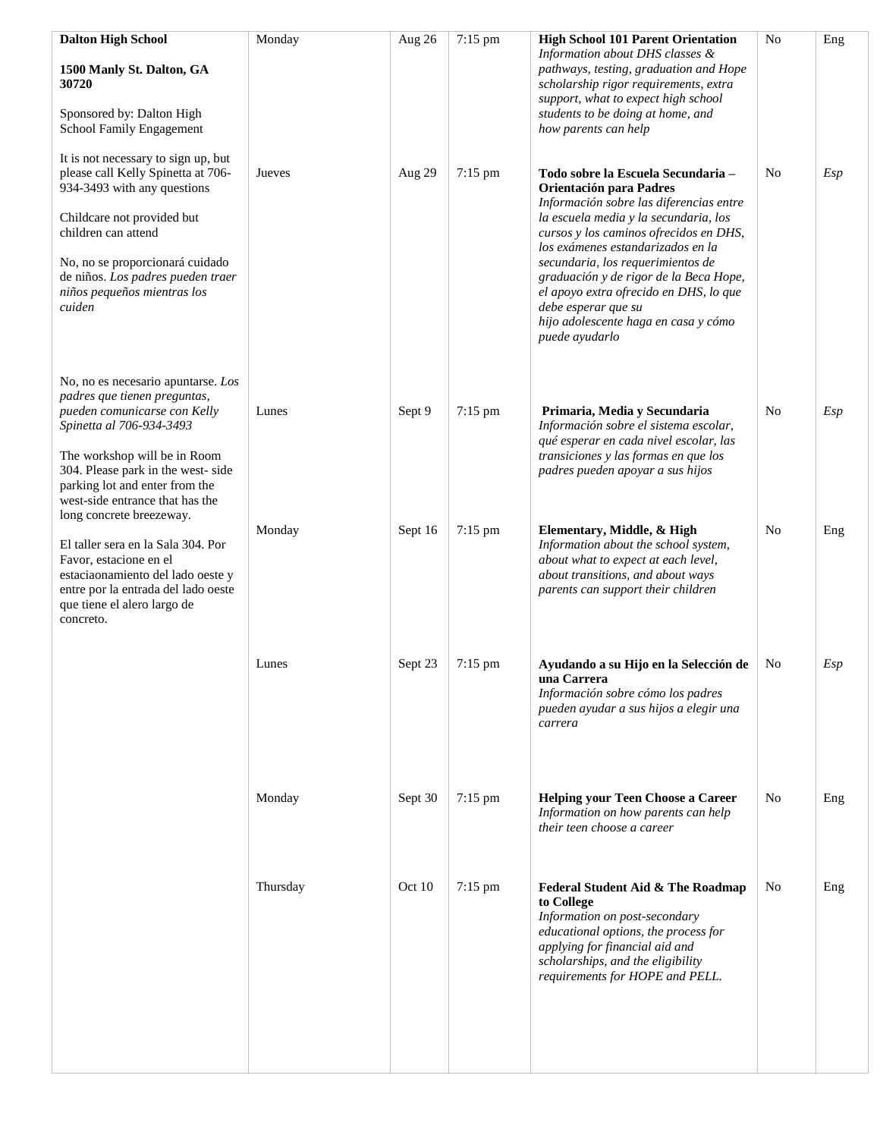| <b>Dalton High School</b>                                                                                                                                                                                        | Monday   | Aug 26  | 7:15 pm           | <b>High School 101 Parent Orientation</b>                                                                                                                                                                                          | N <sub>o</sub> | Eng |
|------------------------------------------------------------------------------------------------------------------------------------------------------------------------------------------------------------------|----------|---------|-------------------|------------------------------------------------------------------------------------------------------------------------------------------------------------------------------------------------------------------------------------|----------------|-----|
| 1500 Manly St. Dalton, GA<br>30720                                                                                                                                                                               |          |         |                   | Information about DHS classes &<br>pathways, testing, graduation and Hope<br>scholarship rigor requirements, extra<br>support, what to expect high school                                                                          |                |     |
| Sponsored by: Dalton High<br>School Family Engagement                                                                                                                                                            |          |         |                   | students to be doing at home, and<br>how parents can help                                                                                                                                                                          |                |     |
| It is not necessary to sign up, but<br>please call Kelly Spinetta at 706-<br>934-3493 with any questions                                                                                                         | Jueves   | Aug 29  | 7:15 pm           | Todo sobre la Escuela Secundaria -<br>Orientación para Padres<br>Información sobre las diferencias entre                                                                                                                           | No             | Esp |
| Childcare not provided but<br>children can attend                                                                                                                                                                |          |         |                   | la escuela media y la secundaria, los<br>cursos y los caminos ofrecidos en DHS,<br>los exámenes estandarizados en la                                                                                                               |                |     |
| No, no se proporcionará cuidado<br>de niños. Los padres pueden traer<br>niños pequeños mientras los<br>cuiden                                                                                                    |          |         |                   | secundaria, los requerimientos de<br>graduación y de rigor de la Beca Hope,<br>el apoyo extra ofrecido en DHS, lo que<br>debe esperar que su<br>hijo adolescente haga en casa y cómo<br>puede ayudarlo                             |                |     |
| No, no es necesario apuntarse. Los<br>padres que tienen preguntas,                                                                                                                                               |          |         |                   |                                                                                                                                                                                                                                    |                |     |
| pueden comunicarse con Kelly<br>Spinetta al 706-934-3493<br>The workshop will be in Room                                                                                                                         | Lunes    | Sept 9  | $7:15$ pm         | Primaria, Media y Secundaria<br>Información sobre el sistema escolar,<br>qué esperar en cada nivel escolar, las<br>transiciones y las formas en que los                                                                            | No             | Esp |
| 304. Please park in the west-side<br>parking lot and enter from the<br>west-side entrance that has the                                                                                                           |          |         |                   | padres pueden apoyar a sus hijos                                                                                                                                                                                                   |                |     |
| long concrete breezeway.<br>El taller sera en la Sala 304. Por<br>Favor, estacione en el<br>estaciaonamiento del lado oeste y<br>entre por la entrada del lado oeste<br>que tiene el alero largo de<br>concreto. | Monday   | Sept 16 | $7:15 \text{ pm}$ | Elementary, Middle, & High<br>Information about the school system,<br>about what to expect at each level,<br>about transitions, and about ways<br>parents can support their children                                               | No             | Eng |
|                                                                                                                                                                                                                  | Lunes    | Sept 23 | 7:15 pm           | Ayudando a su Hijo en la Selección de<br>una Carrera<br>Información sobre cómo los padres<br>pueden ayudar a sus hijos a elegir una<br>carrera                                                                                     | No             | Esp |
|                                                                                                                                                                                                                  | Monday   | Sept 30 | 7:15 pm           | <b>Helping your Teen Choose a Career</b><br>Information on how parents can help<br>their teen choose a career                                                                                                                      | N <sub>0</sub> | Eng |
|                                                                                                                                                                                                                  | Thursday | Oct 10  | 7:15 pm           | Federal Student Aid & The Roadmap<br>to College<br>Information on post-secondary<br>educational options, the process for<br>applying for financial aid and<br>scholarships, and the eligibility<br>requirements for HOPE and PELL. | No             | Eng |
|                                                                                                                                                                                                                  |          |         |                   |                                                                                                                                                                                                                                    |                |     |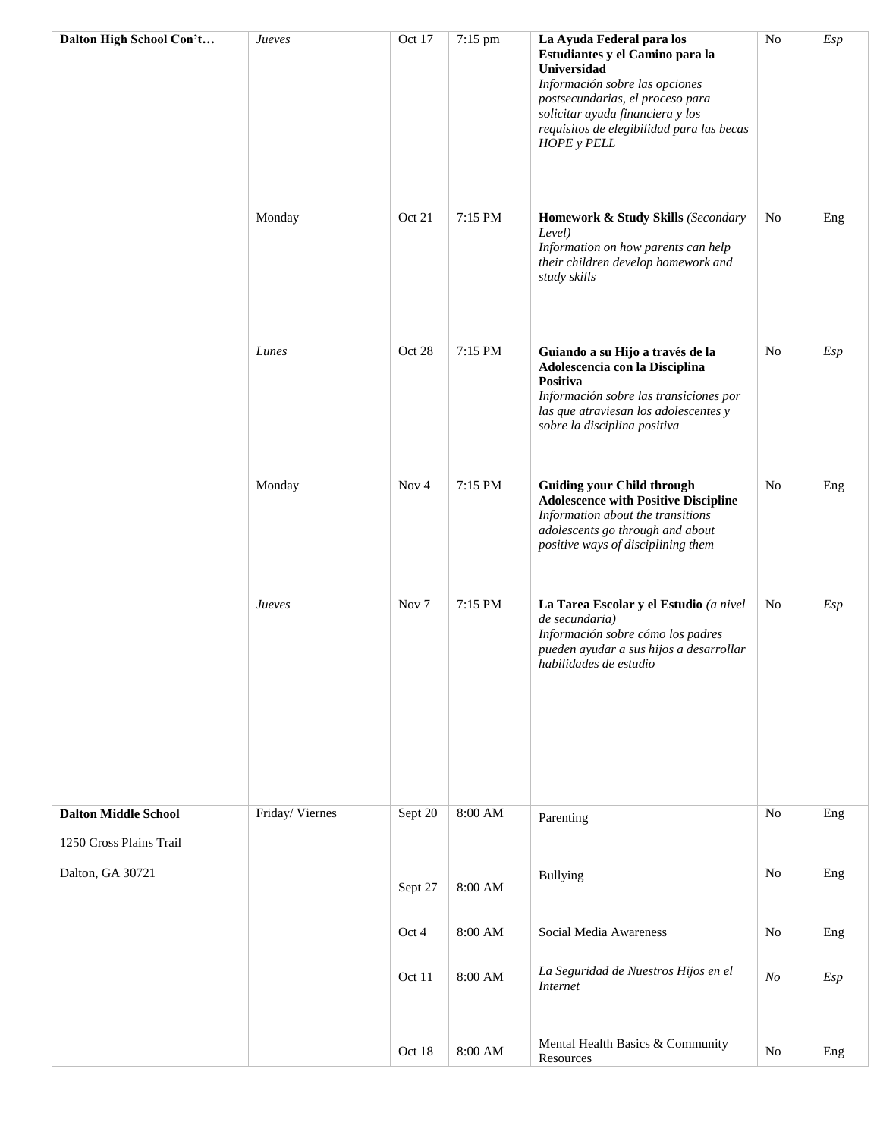| Dalton High School Con't    | Jueves         | Oct 17           | 7:15 pm | La Ayuda Federal para los                                                                                                                                                                                                   | N <sub>o</sub> | Esp |
|-----------------------------|----------------|------------------|---------|-----------------------------------------------------------------------------------------------------------------------------------------------------------------------------------------------------------------------------|----------------|-----|
|                             |                |                  |         | Estudiantes y el Camino para la<br>Universidad<br>Información sobre las opciones<br>postsecundarias, el proceso para<br>solicitar ayuda financiera y los<br>requisitos de elegibilidad para las becas<br><b>HOPE</b> y PELL |                |     |
|                             | Monday         | Oct 21           | 7:15 PM | Homework & Study Skills (Secondary<br>Level)<br>Information on how parents can help<br>their children develop homework and<br>study skills                                                                                  | No             | Eng |
|                             | Lunes          | Oct 28           | 7:15 PM | Guiando a su Hijo a través de la<br>Adolescencia con la Disciplina<br>Positiva<br>Información sobre las transiciones por<br>las que atraviesan los adolescentes y<br>sobre la disciplina positiva                           | No             | Esp |
|                             | Monday         | Nov $4$          | 7:15 PM | <b>Guiding your Child through</b><br><b>Adolescence with Positive Discipline</b><br>Information about the transitions<br>adolescents go through and about<br>positive ways of disciplining them                             | No             | Eng |
|                             | Jueves         | Nov <sub>7</sub> | 7:15 PM | La Tarea Escolar y el Estudio (a nivel<br>de secundaria)<br>Información sobre cómo los padres<br>pueden ayudar a sus hijos a desarrollar<br>habilidades de estudio                                                          | No             | Esp |
|                             |                |                  |         |                                                                                                                                                                                                                             |                |     |
| <b>Dalton Middle School</b> | Friday/Viernes | Sept 20          | 8:00 AM | Parenting                                                                                                                                                                                                                   | No             | Eng |
| 1250 Cross Plains Trail     |                |                  |         |                                                                                                                                                                                                                             |                |     |
| Dalton, GA 30721            |                | Sept 27          | 8:00 AM | <b>Bullying</b>                                                                                                                                                                                                             | N <sub>0</sub> | Eng |
|                             |                | Oct 4            | 8:00 AM | Social Media Awareness                                                                                                                                                                                                      | N <sub>o</sub> | Eng |
|                             |                | Oct 11           | 8:00 AM | La Seguridad de Nuestros Hijos en el<br><b>Internet</b>                                                                                                                                                                     | N <sub>O</sub> | Esp |
|                             |                | Oct 18           | 8:00 AM | Mental Health Basics & Community<br>Resources                                                                                                                                                                               | No             | Eng |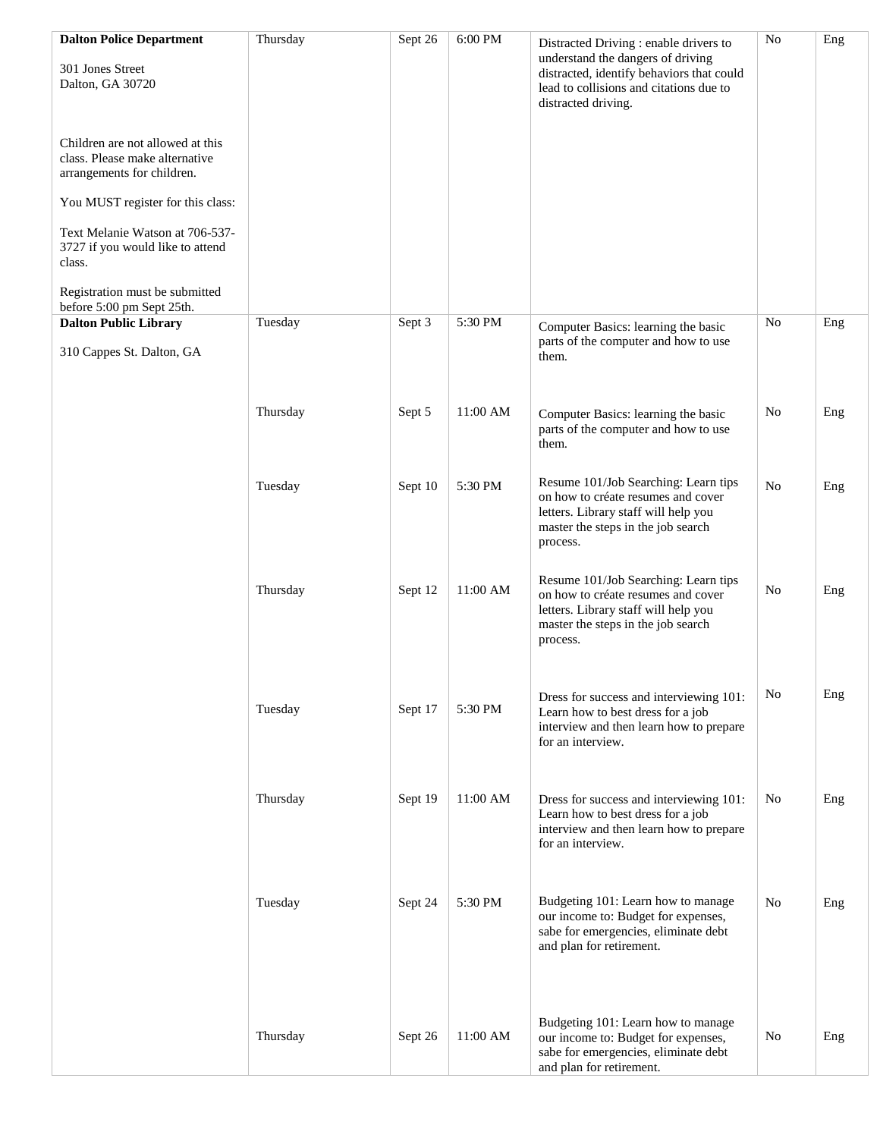| <b>Dalton Police Department</b>                                                                  | Thursday | Sept 26 | 6:00 PM  | Distracted Driving : enable drivers to                                                                                                                               | No             | Eng |
|--------------------------------------------------------------------------------------------------|----------|---------|----------|----------------------------------------------------------------------------------------------------------------------------------------------------------------------|----------------|-----|
| 301 Jones Street<br>Dalton, GA 30720                                                             |          |         |          | understand the dangers of driving<br>distracted, identify behaviors that could<br>lead to collisions and citations due to<br>distracted driving.                     |                |     |
| Children are not allowed at this<br>class. Please make alternative<br>arrangements for children. |          |         |          |                                                                                                                                                                      |                |     |
| You MUST register for this class:                                                                |          |         |          |                                                                                                                                                                      |                |     |
| Text Melanie Watson at 706-537-<br>3727 if you would like to attend<br>class.                    |          |         |          |                                                                                                                                                                      |                |     |
| Registration must be submitted<br>before 5:00 pm Sept 25th.                                      |          |         |          |                                                                                                                                                                      |                |     |
| <b>Dalton Public Library</b><br>310 Cappes St. Dalton, GA                                        | Tuesday  | Sept 3  | 5:30 PM  | Computer Basics: learning the basic<br>parts of the computer and how to use<br>them.                                                                                 | No             | Eng |
|                                                                                                  | Thursday | Sept 5  | 11:00 AM | Computer Basics: learning the basic<br>parts of the computer and how to use<br>them.                                                                                 | No             | Eng |
|                                                                                                  | Tuesday  | Sept 10 | 5:30 PM  | Resume 101/Job Searching: Learn tips<br>on how to créate resumes and cover<br>letters. Library staff will help you<br>master the steps in the job search<br>process. | N <sub>0</sub> | Eng |
|                                                                                                  | Thursday | Sept 12 | 11:00 AM | Resume 101/Job Searching: Learn tips<br>on how to créate resumes and cover<br>letters. Library staff will help you<br>master the steps in the job search<br>process. | No             | Eng |
|                                                                                                  | Tuesday  | Sept 17 | 5:30 PM  | Dress for success and interviewing 101:<br>Learn how to best dress for a job<br>interview and then learn how to prepare<br>for an interview.                         | No             | Eng |
|                                                                                                  | Thursday | Sept 19 | 11:00 AM | Dress for success and interviewing 101:<br>Learn how to best dress for a job<br>interview and then learn how to prepare<br>for an interview.                         | No             | Eng |
|                                                                                                  | Tuesday  | Sept 24 | 5:30 PM  | Budgeting 101: Learn how to manage<br>our income to: Budget for expenses,<br>sabe for emergencies, eliminate debt<br>and plan for retirement.                        | N <sub>o</sub> | Eng |
|                                                                                                  | Thursday | Sept 26 | 11:00 AM | Budgeting 101: Learn how to manage<br>our income to: Budget for expenses,<br>sabe for emergencies, eliminate debt<br>and plan for retirement.                        | No             | Eng |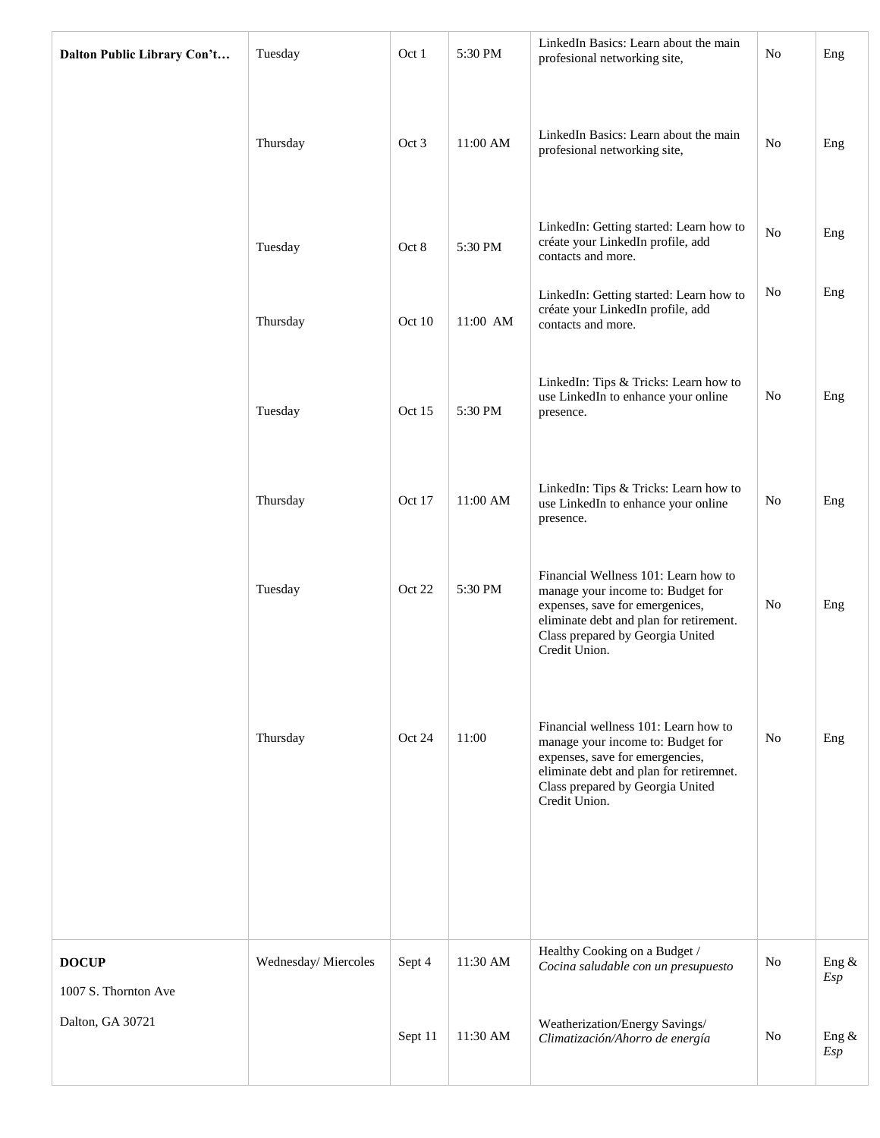| Dalton Public Library Con't | Tuesday             | Oct 1   | 5:30 PM  | LinkedIn Basics: Learn about the main<br>profesional networking site,                                                                                                                                        | No | Eng          |
|-----------------------------|---------------------|---------|----------|--------------------------------------------------------------------------------------------------------------------------------------------------------------------------------------------------------------|----|--------------|
|                             | Thursday            | Oct 3   | 11:00 AM | LinkedIn Basics: Learn about the main<br>profesional networking site,                                                                                                                                        | No | Eng          |
|                             | Tuesday             | Oct 8   | 5:30 PM  | LinkedIn: Getting started: Learn how to<br>créate your LinkedIn profile, add<br>contacts and more.                                                                                                           | No | Eng          |
|                             | Thursday            | Oct 10  | 11:00 AM | LinkedIn: Getting started: Learn how to<br>créate your LinkedIn profile, add<br>contacts and more.                                                                                                           | No | Eng          |
|                             | Tuesday             | Oct 15  | 5:30 PM  | LinkedIn: Tips & Tricks: Learn how to<br>use LinkedIn to enhance your online<br>presence.                                                                                                                    | No | Eng          |
|                             | Thursday            | Oct 17  | 11:00 AM | LinkedIn: Tips & Tricks: Learn how to<br>use LinkedIn to enhance your online<br>presence.                                                                                                                    | No | Eng          |
|                             | Tuesday             | Oct 22  | 5:30 PM  | Financial Wellness 101: Learn how to<br>manage your income to: Budget for<br>expenses, save for emergenices,<br>eliminate debt and plan for retirement.<br>Class prepared by Georgia United<br>Credit Union. | No | Eng          |
|                             | Thursday            | Oct 24  | 11:00    | Financial wellness 101: Learn how to<br>manage your income to: Budget for<br>expenses, save for emergencies,<br>eliminate debt and plan for retiremnet.<br>Class prepared by Georgia United<br>Credit Union. | No | Eng          |
| <b>DOCUP</b>                | Wednesday/Miercoles | Sept 4  | 11:30 AM | Healthy Cooking on a Budget /<br>Cocina saludable con un presupuesto                                                                                                                                         | No | Eng &        |
| 1007 S. Thornton Ave        |                     |         |          |                                                                                                                                                                                                              |    | Esp          |
| Dalton, GA 30721            |                     | Sept 11 | 11:30 AM | Weatherization/Energy Savings/<br>Climatización/Ahorro de energía                                                                                                                                            | No | Eng &<br>Esp |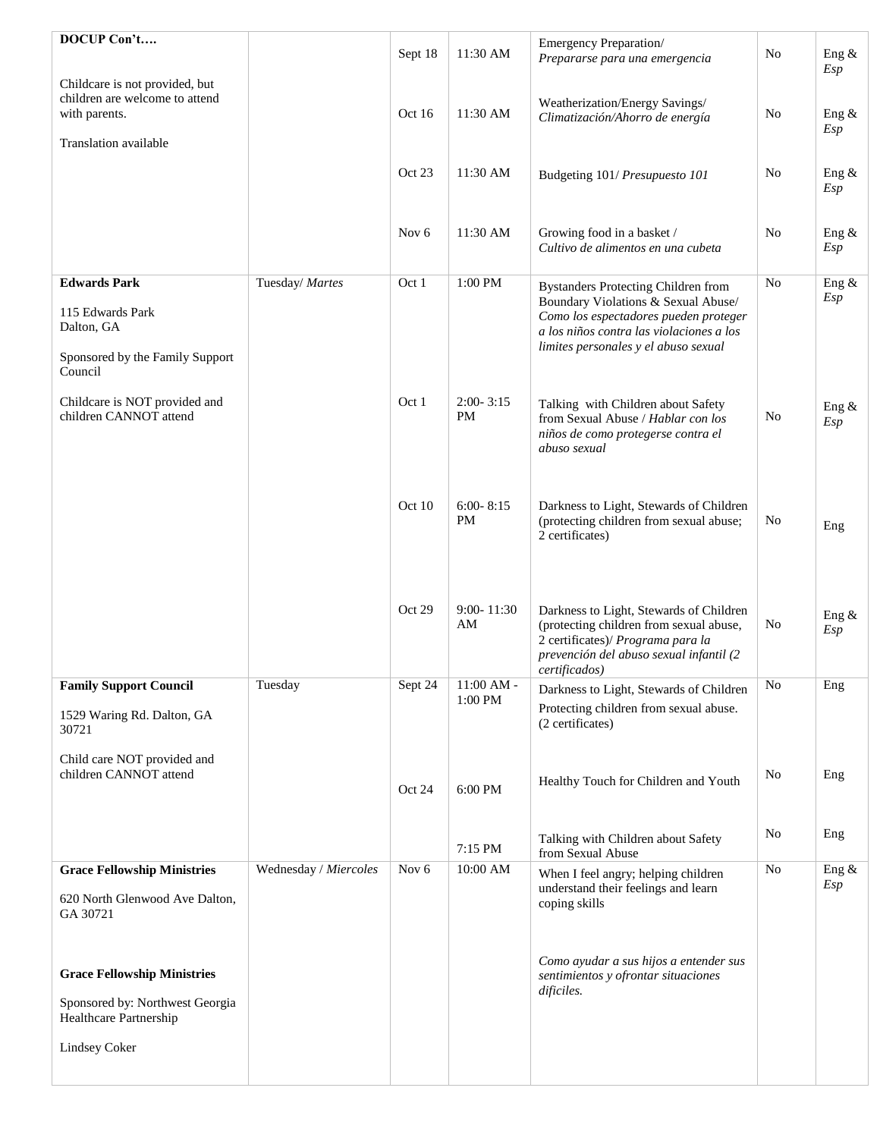| DOCUP Con't                                                                       |                       | Sept 18          | 11:30 AM                   | Emergency Preparation/<br>Prepararse para una emergencia                                                                                                                            | No | Eng &<br>Esp |
|-----------------------------------------------------------------------------------|-----------------------|------------------|----------------------------|-------------------------------------------------------------------------------------------------------------------------------------------------------------------------------------|----|--------------|
| Childcare is not provided, but<br>children are welcome to attend<br>with parents. |                       | Oct 16           | 11:30 AM                   | Weatherization/Energy Savings/<br>Climatización/Ahorro de energía                                                                                                                   | No | Eng &<br>Esp |
| Translation available                                                             |                       |                  |                            |                                                                                                                                                                                     |    |              |
|                                                                                   |                       | Oct 23           | 11:30 AM                   | Budgeting 101/ Presupuesto 101                                                                                                                                                      | No | Eng &<br>Esp |
|                                                                                   |                       | Nov <sub>6</sub> | 11:30 AM                   | Growing food in a basket /<br>Cultivo de alimentos en una cubeta                                                                                                                    | No | Eng &<br>Esp |
| <b>Edwards Park</b>                                                               | Tuesday/ Martes       | Oct 1            | 1:00 PM                    | <b>Bystanders Protecting Children from</b>                                                                                                                                          | No | Eng &        |
| 115 Edwards Park<br>Dalton, GA                                                    |                       |                  |                            | Boundary Violations & Sexual Abuse/<br>Como los espectadores pueden proteger<br>a los niños contra las violaciones a los<br>limites personales y el abuso sexual                    |    | Esp          |
| Sponsored by the Family Support<br>Council                                        |                       |                  |                            |                                                                                                                                                                                     |    |              |
| Childcare is NOT provided and<br>children CANNOT attend                           |                       | Oct 1            | $2:00 - 3:15$<br><b>PM</b> | Talking with Children about Safety<br>from Sexual Abuse / Hablar con los<br>niños de como protegerse contra el<br>abuso sexual                                                      | No | Eng &<br>Esp |
|                                                                                   |                       | Oct 10           | $6:00 - 8:15$<br>PM        | Darkness to Light, Stewards of Children<br>(protecting children from sexual abuse;<br>2 certificates)                                                                               | No | Eng          |
|                                                                                   |                       | Oct 29           | $9:00 - 11:30$<br>AM       | Darkness to Light, Stewards of Children<br>(protecting children from sexual abuse,<br>2 certificates)/ Programa para la<br>prevención del abuso sexual infantil (2<br>certificados) | No | Eng &<br>Esp |
| <b>Family Support Council</b>                                                     | Tuesday               | Sept 24          | $11:00$ AM -<br>1:00 PM    | Darkness to Light, Stewards of Children                                                                                                                                             | No | Eng          |
| 1529 Waring Rd. Dalton, GA<br>30721                                               |                       |                  |                            | Protecting children from sexual abuse.<br>(2 certificates)                                                                                                                          |    |              |
| Child care NOT provided and<br>children CANNOT attend                             |                       | Oct 24           | 6:00 PM                    | Healthy Touch for Children and Youth                                                                                                                                                | No | Eng          |
|                                                                                   |                       |                  | 7:15 PM                    | Talking with Children about Safety<br>from Sexual Abuse                                                                                                                             | No | Eng          |
| <b>Grace Fellowship Ministries</b>                                                | Wednesday / Miercoles | Nov <sub>6</sub> | 10:00 AM                   | When I feel angry; helping children<br>understand their feelings and learn                                                                                                          | No | Eng &<br>Esp |
| 620 North Glenwood Ave Dalton,<br>GA 30721                                        |                       |                  |                            | coping skills                                                                                                                                                                       |    |              |
| <b>Grace Fellowship Ministries</b>                                                |                       |                  |                            | Como ayudar a sus hijos a entender sus<br>sentimientos y ofrontar situaciones<br>dificiles.                                                                                         |    |              |
| Sponsored by: Northwest Georgia<br>Healthcare Partnership                         |                       |                  |                            |                                                                                                                                                                                     |    |              |
| Lindsey Coker                                                                     |                       |                  |                            |                                                                                                                                                                                     |    |              |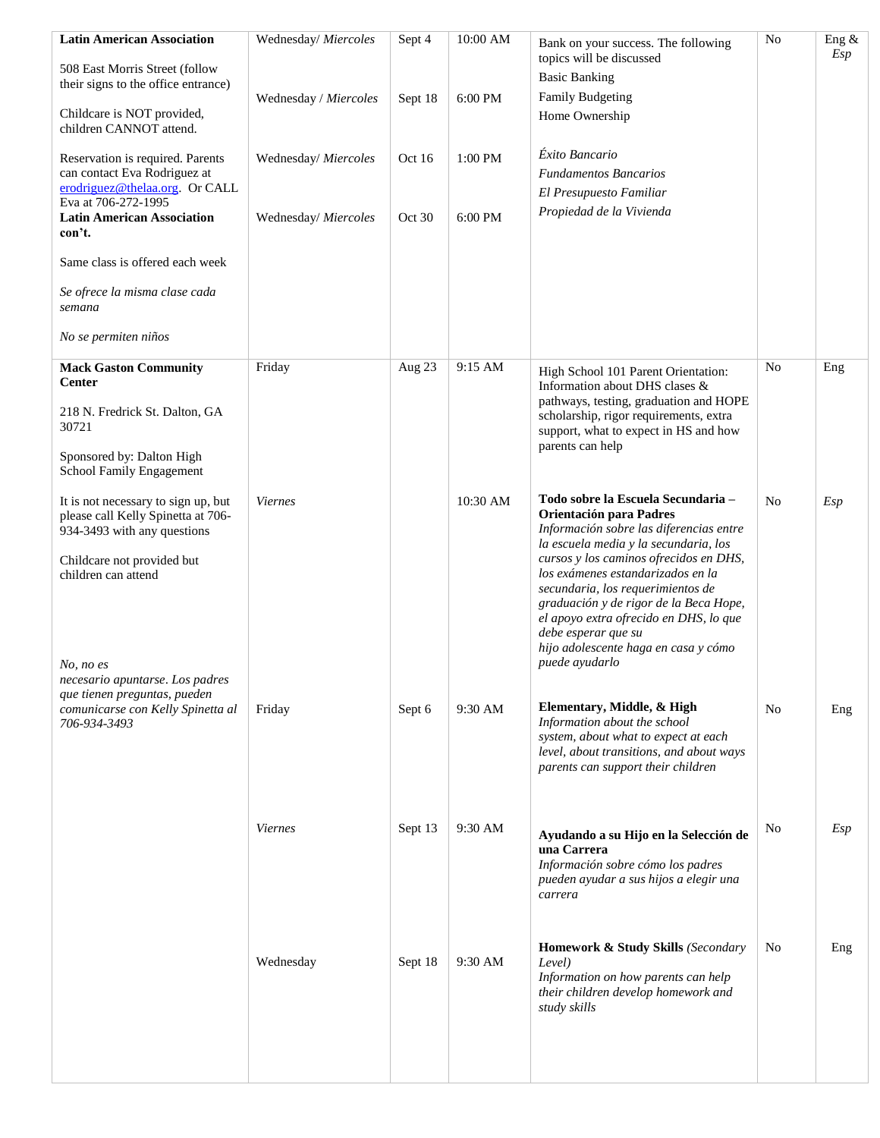| <b>Latin American Association</b>                                                                                                                             | Wednesday/ Miercoles  | Sept 4           | 10:00 AM           | Bank on your success. The following                                                                                                                                                                                                                                                   | No | Eng &<br>Esp |
|---------------------------------------------------------------------------------------------------------------------------------------------------------------|-----------------------|------------------|--------------------|---------------------------------------------------------------------------------------------------------------------------------------------------------------------------------------------------------------------------------------------------------------------------------------|----|--------------|
| 508 East Morris Street (follow<br>their signs to the office entrance)                                                                                         |                       |                  | 6:00 PM            | topics will be discussed<br><b>Basic Banking</b><br><b>Family Budgeting</b>                                                                                                                                                                                                           |    |              |
| Childcare is NOT provided,<br>children CANNOT attend.                                                                                                         | Wednesday / Miercoles | Sept 18          |                    | Home Ownership                                                                                                                                                                                                                                                                        |    |              |
| Reservation is required. Parents<br>can contact Eva Rodriguez at<br>erodriguez@thelaa.org Or CALL<br>Eva at 706-272-1995<br><b>Latin American Association</b> | Wednesday/ Miercoles  | Oct 16<br>Oct 30 | 1:00 PM<br>6:00 PM | Éxito Bancario<br><b>Fundamentos Bancarios</b><br>El Presupuesto Familiar<br>Propiedad de la Vivienda                                                                                                                                                                                 |    |              |
| con't.                                                                                                                                                        | Wednesday/ Miercoles  |                  |                    |                                                                                                                                                                                                                                                                                       |    |              |
| Same class is offered each week                                                                                                                               |                       |                  |                    |                                                                                                                                                                                                                                                                                       |    |              |
| Se ofrece la misma clase cada<br>semana                                                                                                                       |                       |                  |                    |                                                                                                                                                                                                                                                                                       |    |              |
| No se permiten niños                                                                                                                                          |                       |                  |                    |                                                                                                                                                                                                                                                                                       |    |              |
| <b>Mack Gaston Community</b><br><b>Center</b>                                                                                                                 | Friday                | Aug 23           | 9:15 AM            | High School 101 Parent Orientation:<br>Information about DHS clases &<br>pathways, testing, graduation and HOPE                                                                                                                                                                       | No | Eng          |
| 218 N. Fredrick St. Dalton, GA<br>30721                                                                                                                       |                       |                  |                    | scholarship, rigor requirements, extra<br>support, what to expect in HS and how                                                                                                                                                                                                       |    |              |
| Sponsored by: Dalton High<br>School Family Engagement                                                                                                         |                       |                  |                    | parents can help                                                                                                                                                                                                                                                                      |    |              |
| It is not necessary to sign up, but<br>please call Kelly Spinetta at 706-<br>934-3493 with any questions                                                      | <b>Viernes</b>        |                  | 10:30 AM           | Todo sobre la Escuela Secundaria -<br>Orientación para Padres<br>Información sobre las diferencias entre<br>la escuela media y la secundaria, los                                                                                                                                     | No | Esp          |
| Childcare not provided but<br>children can attend<br>No, no es<br>necesario apuntarse. Los padres<br>que tienen preguntas, pueden                             |                       |                  |                    | cursos y los caminos ofrecidos en DHS,<br>los exámenes estandarizados en la<br>secundaria, los requerimientos de<br>graduación y de rigor de la Beca Hope,<br>el apoyo extra ofrecido en DHS, lo que<br>debe esperar que su<br>hijo adolescente haga en casa y cómo<br>puede ayudarlo |    |              |
| comunicarse con Kelly Spinetta al<br>706-934-3493                                                                                                             | Friday                | Sept 6           | 9:30 AM            | Elementary, Middle, & High<br>Information about the school<br>system, about what to expect at each<br>level, about transitions, and about ways<br>parents can support their children                                                                                                  | No | Eng          |
|                                                                                                                                                               | <b>Viernes</b>        | Sept 13          | 9:30 AM            | Ayudando a su Hijo en la Selección de<br>una Carrera<br>Información sobre cómo los padres<br>pueden ayudar a sus hijos a elegir una<br>carrera                                                                                                                                        | No | Esp          |
|                                                                                                                                                               | Wednesday             | Sept 18          | 9:30 AM            | <b>Homework &amp; Study Skills (Secondary</b><br>Level)<br>Information on how parents can help<br>their children develop homework and<br>study skills                                                                                                                                 | No | Eng          |
|                                                                                                                                                               |                       |                  |                    |                                                                                                                                                                                                                                                                                       |    |              |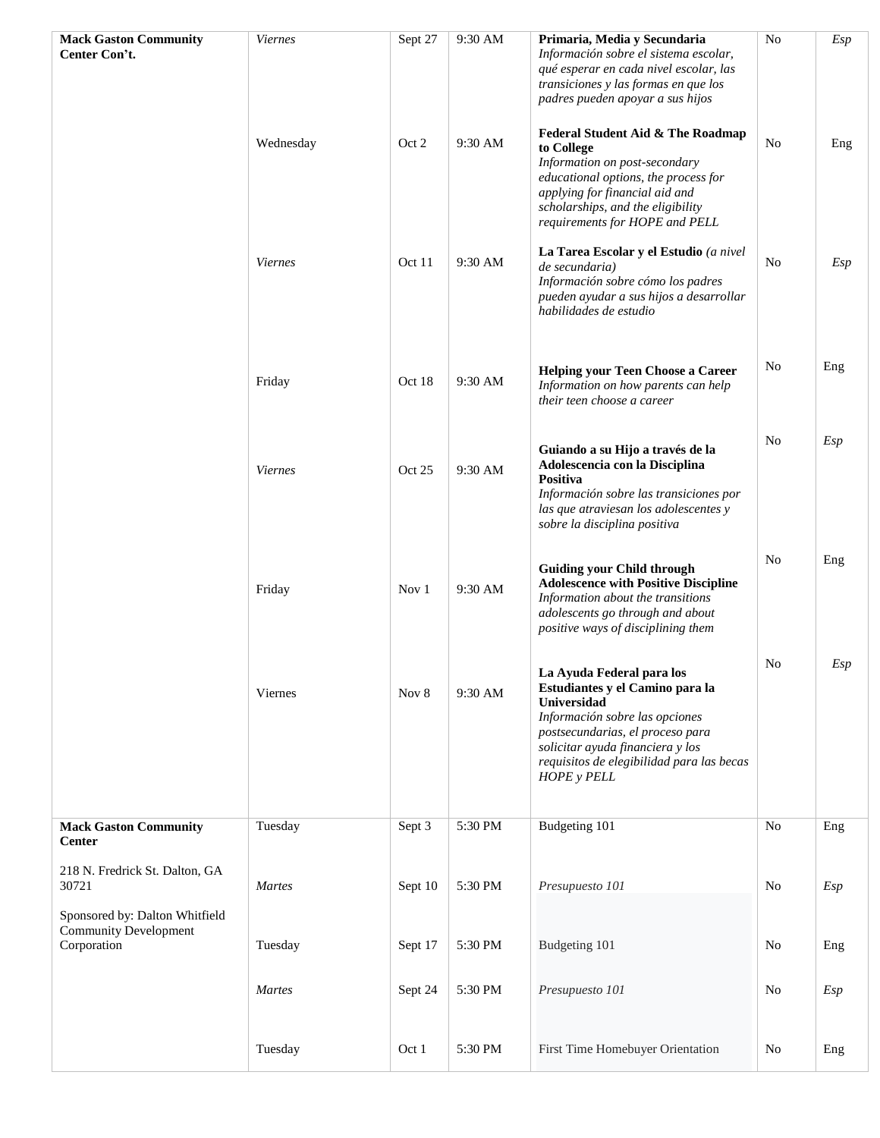| <b>Mack Gaston Community</b>                                                  | <b>Viernes</b> | Sept 27 | 9:30 AM | Primaria, Media y Secundaria                                                                                                                                                                                                                                    | No             | Esp |
|-------------------------------------------------------------------------------|----------------|---------|---------|-----------------------------------------------------------------------------------------------------------------------------------------------------------------------------------------------------------------------------------------------------------------|----------------|-----|
| Center Con't.                                                                 |                |         |         | Información sobre el sistema escolar,<br>qué esperar en cada nivel escolar, las<br>transiciones y las formas en que los<br>padres pueden apoyar a sus hijos                                                                                                     |                |     |
|                                                                               | Wednesday      | Oct 2   | 9:30 AM | Federal Student Aid & The Roadmap<br>to College<br>Information on post-secondary<br>educational options, the process for<br>applying for financial aid and<br>scholarships, and the eligibility<br>requirements for HOPE and PELL                               | No             | Eng |
|                                                                               | <b>Viernes</b> | Oct 11  | 9:30 AM | La Tarea Escolar y el Estudio (a nivel<br>de secundaria)<br>Información sobre cómo los padres<br>pueden ayudar a sus hijos a desarrollar<br>habilidades de estudio                                                                                              | No             | Esp |
|                                                                               | Friday         | Oct 18  | 9:30 AM | <b>Helping your Teen Choose a Career</b><br>Information on how parents can help<br>their teen choose a career                                                                                                                                                   | N <sub>o</sub> | Eng |
|                                                                               | <b>Viernes</b> | Oct 25  | 9:30 AM | Guiando a su Hijo a través de la<br>Adolescencia con la Disciplina<br>Positiva<br>Información sobre las transiciones por<br>las que atraviesan los adolescentes y<br>sobre la disciplina positiva                                                               | No             | Esp |
|                                                                               | Friday         | Nov 1   | 9:30 AM | <b>Guiding your Child through</b><br><b>Adolescence with Positive Discipline</b><br>Information about the transitions<br>adolescents go through and about<br>positive ways of disciplining them                                                                 | No             | Eng |
|                                                                               | Viernes        | Nov 8   | 9:30 AM | La Ayuda Federal para los<br>Estudiantes y el Camino para la<br>Universidad<br>Información sobre las opciones<br>postsecundarias, el proceso para<br>solicitar ayuda financiera y los<br>requisitos de elegibilidad para las becas<br><b>HOPE</b> y <b>PELL</b> | No             | Esp |
| <b>Mack Gaston Community</b>                                                  | Tuesday        | Sept 3  | 5:30 PM | Budgeting 101                                                                                                                                                                                                                                                   | No             | Eng |
| <b>Center</b><br>218 N. Fredrick St. Dalton, GA<br>30721                      | <b>Martes</b>  | Sept 10 | 5:30 PM | Presupuesto 101                                                                                                                                                                                                                                                 | No             | Esp |
| Sponsored by: Dalton Whitfield<br><b>Community Development</b><br>Corporation | Tuesday        | Sept 17 | 5:30 PM | Budgeting 101                                                                                                                                                                                                                                                   | No             | Eng |
|                                                                               | Martes         | Sept 24 | 5:30 PM | Presupuesto 101                                                                                                                                                                                                                                                 | No             | Esp |
|                                                                               | Tuesday        | Oct 1   | 5:30 PM | First Time Homebuyer Orientation                                                                                                                                                                                                                                | No             | Eng |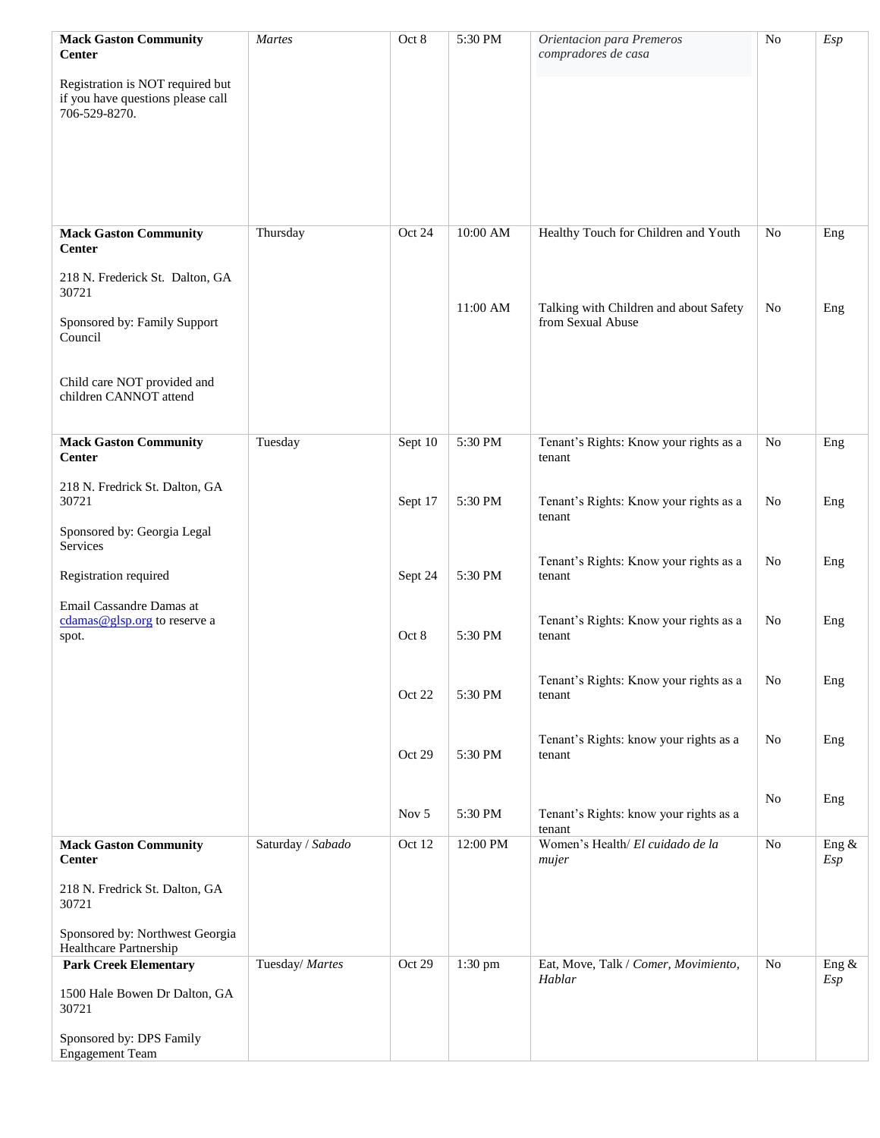| <b>Mack Gaston Community</b><br><b>Center</b><br>Registration is NOT required but<br>if you have questions please call<br>706-529-8270. | Martes            | Oct 8   | 5:30 PM   | Orientacion para Premeros<br>compradores de casa | N <sub>o</sub> | Esp          |
|-----------------------------------------------------------------------------------------------------------------------------------------|-------------------|---------|-----------|--------------------------------------------------|----------------|--------------|
| <b>Mack Gaston Community</b><br><b>Center</b>                                                                                           | Thursday          | Oct 24  | 10:00 AM  | Healthy Touch for Children and Youth             | No             | Eng          |
| 218 N. Frederick St. Dalton, GA<br>30721                                                                                                |                   |         | 11:00 AM  | Talking with Children and about Safety           | No             | Eng          |
| Sponsored by: Family Support<br>Council                                                                                                 |                   |         |           | from Sexual Abuse                                |                |              |
| Child care NOT provided and<br>children CANNOT attend                                                                                   |                   |         |           |                                                  |                |              |
| <b>Mack Gaston Community</b><br><b>Center</b>                                                                                           | Tuesday           | Sept 10 | 5:30 PM   | Tenant's Rights: Know your rights as a<br>tenant | No             | Eng          |
| 218 N. Fredrick St. Dalton, GA<br>30721                                                                                                 |                   | Sept 17 | 5:30 PM   | Tenant's Rights: Know your rights as a<br>tenant | No             | Eng          |
| Sponsored by: Georgia Legal<br>Services                                                                                                 |                   |         |           | Tenant's Rights: Know your rights as a           | No             | Eng          |
| Registration required                                                                                                                   |                   | Sept 24 | 5:30 PM   | tenant                                           |                |              |
| Email Cassandre Damas at<br>cdamas@glsp.org to reserve a<br>spot.                                                                       |                   | Oct 8   | 5:30 PM   | Tenant's Rights: Know your rights as a<br>tenant | No             | Eng          |
|                                                                                                                                         |                   | Oct 22  | 5:30 PM   | Tenant's Rights: Know your rights as a<br>tenant | No             | Eng          |
|                                                                                                                                         |                   | Oct 29  | 5:30 PM   | Tenant's Rights: know your rights as a<br>tenant | N <sub>o</sub> | Eng          |
|                                                                                                                                         |                   | Nov 5   | 5:30 PM   | Tenant's Rights: know your rights as a<br>tenant | N <sub>o</sub> | Eng          |
| <b>Mack Gaston Community</b><br><b>Center</b>                                                                                           | Saturday / Sabado | Oct 12  | 12:00 PM  | Women's Health/ El cuidado de la<br>mujer        | No             | Eng &<br>Esp |
| 218 N. Fredrick St. Dalton, GA<br>30721                                                                                                 |                   |         |           |                                                  |                |              |
| Sponsored by: Northwest Georgia<br>Healthcare Partnership                                                                               |                   |         |           |                                                  |                |              |
| <b>Park Creek Elementary</b>                                                                                                            | Tuesday/ Martes   | Oct 29  | $1:30$ pm | Eat, Move, Talk / Comer, Movimiento,<br>Hablar   | No             | Eng &<br>Esp |
| 1500 Hale Bowen Dr Dalton, GA<br>30721                                                                                                  |                   |         |           |                                                  |                |              |
| Sponsored by: DPS Family<br><b>Engagement Team</b>                                                                                      |                   |         |           |                                                  |                |              |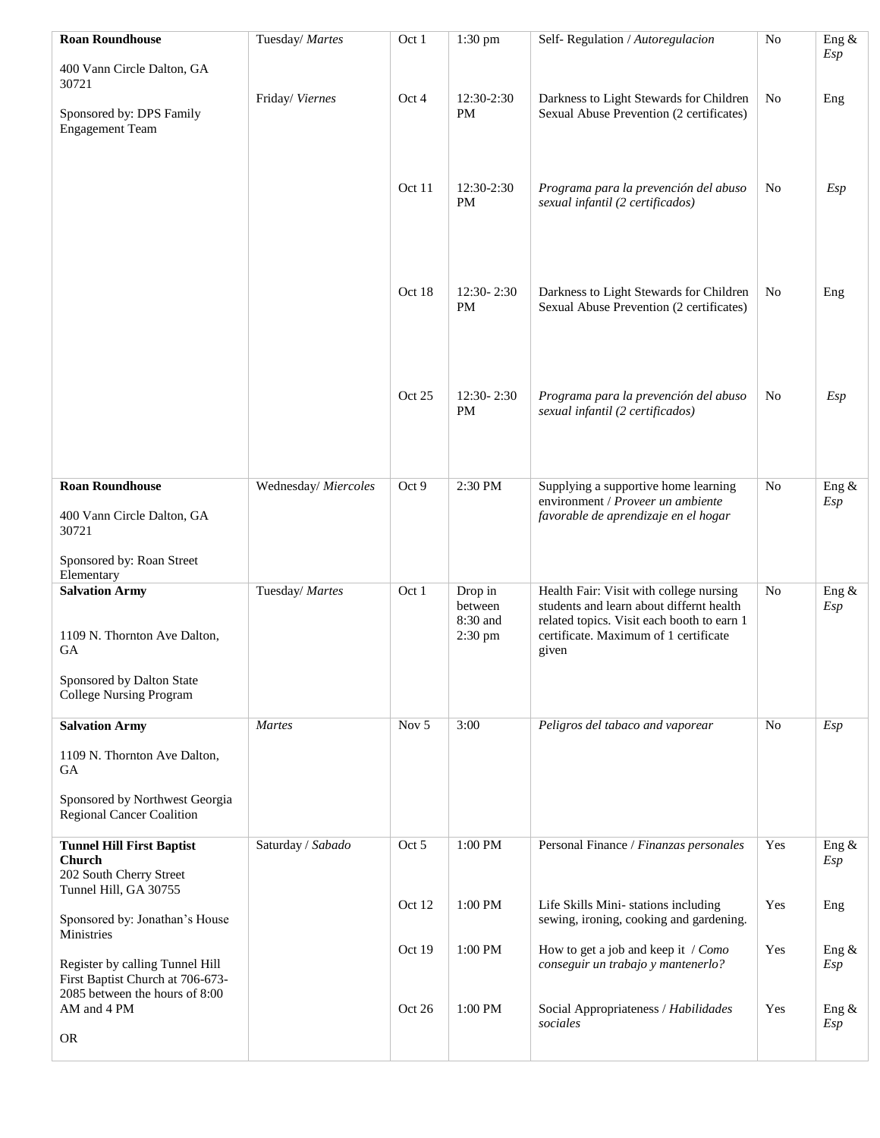| <b>Roan Roundhouse</b>                                                                                | Tuesday/ Martes      | Oct 1   | $1:30$ pm                                 | Self-Regulation / Autoregulacion                                                                                                                                                    | N <sub>o</sub> | Eng &           |
|-------------------------------------------------------------------------------------------------------|----------------------|---------|-------------------------------------------|-------------------------------------------------------------------------------------------------------------------------------------------------------------------------------------|----------------|-----------------|
| 400 Vann Circle Dalton, GA<br>30721                                                                   |                      |         |                                           |                                                                                                                                                                                     |                | Esp             |
| Sponsored by: DPS Family<br><b>Engagement Team</b>                                                    | Friday/Viernes       | Oct 4   | 12:30-2:30<br>PM                          | Darkness to Light Stewards for Children<br>Sexual Abuse Prevention (2 certificates)                                                                                                 | N <sub>o</sub> | Eng             |
|                                                                                                       |                      | Oct 11  | 12:30-2:30<br>PM                          | Programa para la prevención del abuso<br>sexual infantil (2 certificados)                                                                                                           | No             | Esp             |
|                                                                                                       |                      | Oct 18  | 12:30-2:30<br>PM                          | Darkness to Light Stewards for Children<br>Sexual Abuse Prevention (2 certificates)                                                                                                 | No             | Eng             |
|                                                                                                       |                      | Oct 25  | $12:30 - 2:30$<br>PM                      | Programa para la prevención del abuso<br>sexual infantil (2 certificados)                                                                                                           | N <sub>o</sub> | Esp             |
| <b>Roan Roundhouse</b>                                                                                | Wednesday/ Miercoles | Oct 9   | 2:30 PM                                   | Supplying a supportive home learning                                                                                                                                                | N <sub>o</sub> | Eng &           |
| 400 Vann Circle Dalton, GA<br>30721                                                                   |                      |         |                                           | environment / Proveer un ambiente<br>favorable de aprendizaje en el hogar                                                                                                           |                | Esp             |
| Sponsored by: Roan Street<br>Elementary                                                               |                      |         |                                           |                                                                                                                                                                                     |                |                 |
| <b>Salvation Army</b><br>1109 N. Thornton Ave Dalton,<br><b>GA</b>                                    | Tuesday/ Martes      | Oct 1   | Drop in<br>between<br>8:30 and<br>2:30 pm | Health Fair: Visit with college nursing<br>students and learn about differnt health<br>related topics. Visit each booth to earn 1<br>certificate. Maximum of 1 certificate<br>given | <b>No</b>      | Eng &<br>Esp    |
| Sponsored by Dalton State<br><b>College Nursing Program</b>                                           |                      |         |                                           |                                                                                                                                                                                     |                |                 |
| <b>Salvation Army</b>                                                                                 | Martes               | Nov $5$ | 3:00                                      | Peligros del tabaco and vaporear                                                                                                                                                    | <b>No</b>      | Esp             |
| 1109 N. Thornton Ave Dalton,<br>GA                                                                    |                      |         |                                           |                                                                                                                                                                                     |                |                 |
| Sponsored by Northwest Georgia<br><b>Regional Cancer Coalition</b>                                    |                      |         |                                           |                                                                                                                                                                                     |                |                 |
| <b>Tunnel Hill First Baptist</b><br>Church<br>202 South Cherry Street                                 | Saturday / Sabado    | Oct 5   | 1:00 PM                                   | Personal Finance / Finanzas personales                                                                                                                                              | Yes            | Eng &<br>Esp    |
| Tunnel Hill, GA 30755<br>Sponsored by: Jonathan's House<br>Ministries                                 |                      | Oct 12  | 1:00 PM                                   | Life Skills Mini-stations including<br>sewing, ironing, cooking and gardening.                                                                                                      | Yes            | Eng             |
| Register by calling Tunnel Hill<br>First Baptist Church at 706-673-<br>2085 between the hours of 8:00 |                      | Oct 19  | 1:00 PM                                   | How to get a job and keep it / Como<br>conseguir un trabajo y mantenerlo?                                                                                                           | Yes            | Eng &<br>Esp    |
| AM and 4 PM                                                                                           |                      | Oct 26  | 1:00 PM                                   | Social Appropriateness / Habilidades<br>sociales                                                                                                                                    | Yes            | Eng $\&$<br>Esp |
| <b>OR</b>                                                                                             |                      |         |                                           |                                                                                                                                                                                     |                |                 |